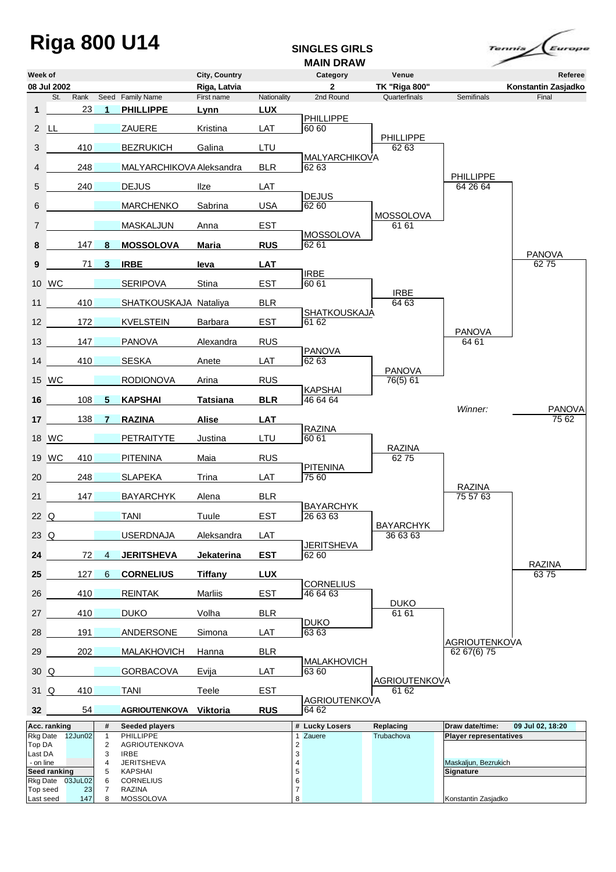|                       |              |                  |                | <b>Riga 800 U14</b>                |                               |             | <b>SINGLES GIRLS</b>         |                               | Terunis                       |                                |
|-----------------------|--------------|------------------|----------------|------------------------------------|-------------------------------|-------------|------------------------------|-------------------------------|-------------------------------|--------------------------------|
|                       |              |                  |                |                                    |                               |             | <b>MAIN DRAW</b>             |                               |                               |                                |
| Week of               | 08 Jul 2002  |                  |                |                                    | City, Country<br>Riga, Latvia |             | Category<br>$\mathbf{2}$     | Venue<br><b>TK "Riga 800"</b> |                               | Referee<br>Konstantin Zasjadko |
|                       | St.          | Rank             |                | Seed Family Name                   | First name                    | Nationality | 2nd Round                    | Quarterfinals                 | Semifinals                    | Final                          |
| $\mathbf 1$           |              | 23               | 1              | <b>PHILLIPPE</b>                   | Lynn                          | <b>LUX</b>  | PHILLIPPE                    |                               |                               |                                |
| $\mathbf{2}^{\prime}$ | LL           |                  |                | ZAUERE                             | Kristina                      | LAT         | 60 60                        |                               |                               |                                |
| 3                     |              | 410              |                | <b>BEZRUKICH</b>                   | Galina                        | LTU         |                              | PHILLIPPE<br>62 63            |                               |                                |
| 4                     |              | 248              |                | MALYARCHIKOVA Aleksandra           |                               | <b>BLR</b>  | MALYARCHIKOVA<br>62 63       |                               |                               |                                |
| 5                     |              | 240              |                | <b>DEJUS</b>                       | Ilze                          | LAT         |                              |                               | PHILLIPPE<br>64 26 64         |                                |
| 6                     |              |                  |                | <b>MARCHENKO</b>                   | Sabrina                       | <b>USA</b>  | <b>DEJUS</b><br>62 60        |                               |                               |                                |
| 7                     |              |                  |                | <b>MASKALJUN</b>                   | Anna                          | <b>EST</b>  |                              | MOSSOLOVA<br>61 61            |                               |                                |
| 8                     |              | 147              | 8              | <b>MOSSOLOVA</b>                   | <b>Maria</b>                  | <b>RUS</b>  | <b>MOSSOLOVA</b><br>62 61    |                               |                               |                                |
| 9                     |              | 71               | 3              | <b>IRBE</b>                        | leva                          | <b>LAT</b>  |                              |                               |                               | <b>PANOVA</b><br>6275          |
|                       | 10 WC        |                  |                | <b>SERIPOVA</b>                    | Stina                         | <b>EST</b>  | <b>IRBE</b><br>60 61         |                               |                               |                                |
| 11                    |              | 410              |                | SHATKOUSKAJA Nataliya              |                               | <b>BLR</b>  |                              | <b>IRBE</b><br>64 63          |                               |                                |
| 12                    |              | 172              |                | <b>KVELSTEIN</b>                   | Barbara                       | <b>EST</b>  | <b>SHATKOUSKAJA</b><br>61 62 |                               |                               |                                |
| 13                    |              | 147              |                | <b>PANOVA</b>                      | Alexandra                     | <b>RUS</b>  |                              |                               | <b>PANOVA</b><br>64 61        |                                |
| 14                    |              | 410              |                | <b>SESKA</b>                       | Anete                         | LAT         | <b>PANOVA</b><br>62 63       |                               |                               |                                |
|                       | 15 WC        |                  |                | <b>RODIONOVA</b>                   | Arina                         | <b>RUS</b>  |                              | <b>PANOVA</b><br>76(5) 61     |                               |                                |
| 16                    |              | 108              | 5              |                                    | <b>Tatsiana</b>               | <b>BLR</b>  | <b>KAPSHAI</b><br>46 64 64   |                               |                               |                                |
| 17                    |              | 138              | 7              | <b>KAPSHAI</b><br><b>RAZINA</b>    | <b>Alise</b>                  | <b>LAT</b>  |                              |                               | Winner:                       | <b>PANOVA</b><br>75 62         |
|                       | 18 WC        |                  |                | <b>PETRAITYTE</b>                  | Justina                       | LTU         | <b>RAZINA</b><br>60 61       |                               |                               |                                |
|                       | 19 WC        | 410              |                | <b>PITENINA</b>                    | Maia                          | <b>RUS</b>  |                              | <b>RAZINA</b><br>6275         |                               |                                |
| 20                    |              | 248              |                | <b>SLAPEKA</b>                     | Trina                         | LAT         | <b>PITENINA</b><br>75 60     |                               |                               |                                |
| 21                    |              | 147              |                | <b>BAYARCHYK</b>                   | Alena                         | <b>BLR</b>  |                              |                               | <b>RAZINA</b><br>75 57 63     |                                |
|                       |              |                  |                |                                    |                               |             | <b>BAYARCHYK</b><br>26 63 63 |                               |                               |                                |
| 22 Q                  |              |                  |                | <b>TANI</b>                        | Tuule                         | <b>EST</b>  |                              | <b>BAYARCHYK</b>              |                               |                                |
| 23 Q                  |              |                  |                | <b>USERDNAJA</b>                   | Aleksandra                    | LAT         | <b>JERITSHEVA</b>            | 36 63 63                      |                               |                                |
| 24                    |              | 72               | 4              | <b>JERITSHEVA</b>                  | Jekaterina                    | <b>EST</b>  | 62 60                        |                               |                               | <b>RAZINA</b>                  |
| 25                    |              | 127              | 6              | <b>CORNELIUS</b>                   | <b>Tiffany</b>                | <b>LUX</b>  | <b>CORNELIUS</b>             |                               |                               | 6375                           |
| 26                    |              | 410              |                | <b>REINTAK</b>                     | Marliis                       | <b>EST</b>  | 46 64 63                     | <b>DUKO</b>                   |                               |                                |
| 27                    |              | 410              |                | <b>DUKO</b>                        | Volha                         | <b>BLR</b>  | <b>DUKO</b>                  | 61 61                         |                               |                                |
| 28                    |              | 191              |                | ANDERSONE                          | Simona                        | LAT         | 63 63                        |                               | <b>AGRIOUTENKOVA</b>          |                                |
| 29                    |              | 202              |                | <b>MALAKHOVICH</b>                 | Hanna                         | <b>BLR</b>  | MALAKHOVICH                  |                               | 6267(6)75                     |                                |
| 30 Q                  |              |                  |                | <b>GORBACOVA</b>                   | Evija                         | LAT         | 63 60                        | <b>AGRIOUTENKOVA</b>          |                               |                                |
| 31 Q                  |              | 410              |                | <b>TANI</b>                        | Teele                         | <b>EST</b>  | <b>AGRIOUTENKOVA</b>         | 61 62                         |                               |                                |
| 32 <sub>2</sub>       |              | 54               |                | <b>AGRIOUTENKOVA</b>               | Viktoria                      | <b>RUS</b>  | 64 62                        |                               |                               |                                |
|                       | Acc. ranking | Rkg Date 12Jun02 | #<br>1         | Seeded players<br>PHILLIPPE        |                               |             | # Lucky Losers<br>1 Zauere   | Replacing<br>Trubachova       | Draw date/time:               | 09 Jul 02, 18:20               |
| Top DA                |              |                  | $\overline{c}$ | <b>AGRIOUTENKOVA</b>               |                               |             | 2                            |                               | <b>Player representatives</b> |                                |
| Last DA<br>- on line  |              |                  | 3<br>4         | <b>IRBE</b><br><b>JERITSHEVA</b>   |                               |             | 3<br>4                       |                               | Maskaljun, Bezrukich          |                                |
| <b>Rkg Date</b>       | Seed ranking | 03JuL02          | 5<br>6         | <b>KAPSHAI</b><br><b>CORNELIUS</b> |                               |             | 5<br>6                       |                               | Signature                     |                                |
| Top seed              |              | 23               | 7              | RAZINA                             |                               |             | $\overline{\mathbf{7}}$      |                               |                               |                                |
| Last seed             |              | 147              | 8              | MOSSOLOVA                          |                               |             | 8                            |                               | Konstantin Zasjadko           |                                |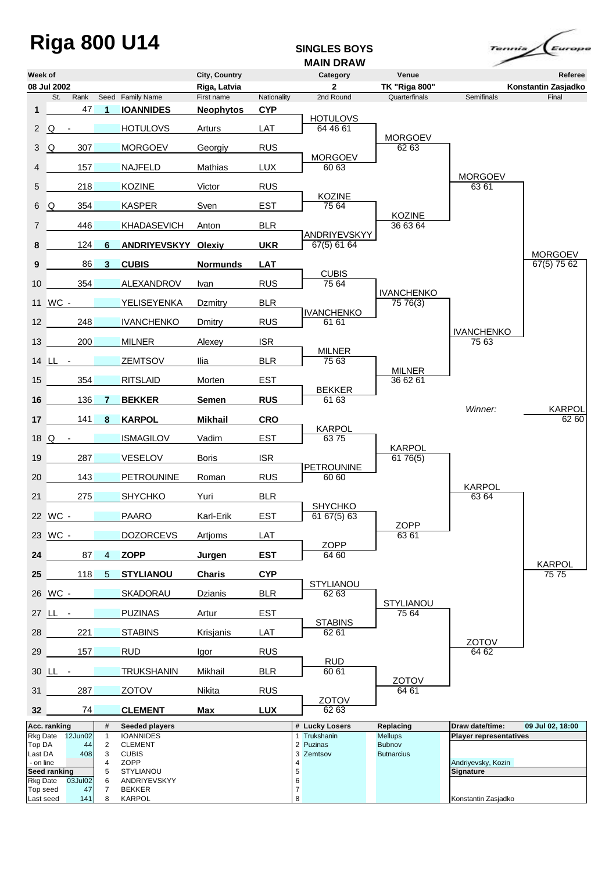|                    |              |               |             | <b>Riga 800 U14</b>                  |                                |             | <b>SINGLES BOYS</b>         |                               | Terunis                       |                                 |
|--------------------|--------------|---------------|-------------|--------------------------------------|--------------------------------|-------------|-----------------------------|-------------------------------|-------------------------------|---------------------------------|
|                    |              |               |             |                                      |                                |             | <b>MAIN DRAW</b>            |                               |                               |                                 |
| Week of            |              |               |             |                                      | City, Country                  |             | Category                    | Venue                         |                               | Referee                         |
|                    | 08 Jul 2002  |               |             |                                      | Riga, Latvia                   | Nationality | $\mathbf{2}$<br>2nd Round   | <b>TK "Riga 800"</b>          |                               | Konstantin Zasjadko             |
| 1.                 | St.          | Rank<br>47    | $\mathbf 1$ | Seed Family Name<br><b>IOANNIDES</b> | First name<br><b>Neophytos</b> | <b>CYP</b>  |                             | Quarterfinals                 | Semifinals                    | Final                           |
|                    | $2Q -$       |               |             | <b>HOTULOVS</b>                      | Arturs                         | LAT         | <b>HOTULOVS</b><br>64 46 61 |                               |                               |                                 |
|                    | 3 Q          | 307           |             | <b>MORGOEV</b>                       | Georgiy                        | <b>RUS</b>  |                             | <b>MORGOEV</b><br>62 63       |                               |                                 |
| 4                  |              | 157           |             | <b>NAJFELD</b>                       | Mathias                        | <b>LUX</b>  | <b>MORGOEV</b><br>60 63     |                               |                               |                                 |
| 5                  |              | 218           |             | <b>KOZINE</b>                        | Victor                         | <b>RUS</b>  |                             |                               | <b>MORGOEV</b><br>63 61       |                                 |
|                    | 6 Q          | 354           |             | <b>KASPER</b>                        | Sven                           | EST         | <b>KOZINE</b><br>75 64      |                               |                               |                                 |
| 7                  |              | 446           |             | <b>KHADASEVICH</b>                   | Anton                          | <b>BLR</b>  |                             | <b>KOZINE</b><br>36 63 64     |                               |                                 |
| 8                  |              | 124           | 6           | <b>ANDRIYEVSKYY Olexiy</b>           |                                | <b>UKR</b>  | ANDRIYEVSKYY<br>67(5) 61 64 |                               |                               |                                 |
| 9                  |              | 86            | 3           | <b>CUBIS</b>                         | <b>Normunds</b>                | LAT         |                             |                               |                               | <b>MORGOEV</b><br>$67(5)$ 75 62 |
| 10                 |              | 354           |             | <b>ALEXANDROV</b>                    | Ivan                           | <b>RUS</b>  | <b>CUBIS</b><br>75 64       |                               |                               |                                 |
|                    | 11 WC -      |               |             | YELISEYENKA                          | Dzmitry                        | <b>BLR</b>  |                             | <b>IVANCHENKO</b><br>75 76(3) |                               |                                 |
| 12 <sup>2</sup>    |              | 248           |             | <b>IVANCHENKO</b>                    | Dmitry                         | <b>RUS</b>  | <b>IVANCHENKO</b><br>61 61  |                               |                               |                                 |
| 13 <sup>7</sup>    |              | 200           |             | <b>MILNER</b>                        | Alexey                         | <b>ISR</b>  |                             |                               | <b>IVANCHENKO</b><br>75 63    |                                 |
|                    | $14$ LL -    |               |             | <b>ZEMTSOV</b>                       | llia                           | <b>BLR</b>  | <b>MILNER</b><br>75 63      |                               |                               |                                 |
| 15                 |              | 354           |             | <b>RITSLAID</b>                      | Morten                         | <b>EST</b>  |                             | <b>MILNER</b><br>36 62 61     |                               |                                 |
| 16                 |              | 136           |             | <b>BEKKER</b>                        | Semen                          | <b>RUS</b>  | <b>BEKKER</b><br>61 63      |                               |                               |                                 |
| 17                 |              | 141           | 8           | <b>KARPOL</b>                        | <b>Mikhail</b>                 | <b>CRO</b>  |                             |                               | Winner:                       | <b>KARPOL</b><br>62 60          |
|                    | $18Q -$      |               |             | <b>ISMAGILOV</b>                     | Vadim                          | <b>EST</b>  | <b>KARPOL</b><br>6375       |                               |                               |                                 |
| 19                 |              | 287           |             | <b>VESELOV</b>                       | <b>Boris</b>                   | <b>ISR</b>  |                             | <b>KARPOL</b><br>61 76(5)     |                               |                                 |
| 20                 |              | 143           |             | <b>PETROUNINE</b>                    | Roman                          | <b>RUS</b>  | <b>PETROUNINE</b><br>60 60  |                               |                               |                                 |
| 21                 |              | 275           |             | <b>SHYCHKO</b>                       | Yuri                           | <b>BLR</b>  |                             |                               | <b>KARPOL</b><br>63 64        |                                 |
|                    | 22 WC -      |               |             | <b>PAARO</b>                         | Karl-Erik                      | <b>EST</b>  | <b>SHYCHKO</b><br>6167(5)63 |                               |                               |                                 |
|                    | 23 WC -      |               |             | <b>DOZORCEVS</b>                     | Artioms                        | LAT         |                             | <b>ZOPP</b><br>63 61          |                               |                                 |
| 24                 |              | 87            | 4           | <b>ZOPP</b>                          | Jurgen                         | <b>EST</b>  | ZOPP<br>64 60               |                               |                               |                                 |
| 25                 |              | $118$ 5       |             | <b>STYLIANOU</b>                     | <b>Charis</b>                  | <b>CYP</b>  |                             |                               |                               | <b>KARPOL</b><br>7575           |
|                    | 26 WC -      |               |             | SKADORAU                             | Dzianis                        | <b>BLR</b>  | STYLIANOU<br>62 63          |                               |                               |                                 |
|                    | 27 LL -      |               |             | <b>PUZINAS</b>                       | Artur                          | <b>EST</b>  |                             | <b>STYLIANOU</b><br>75 64     |                               |                                 |
| 28                 |              | 221           |             | <b>STABINS</b>                       | Krisjanis                      | LAT         | <b>STABINS</b><br>62 61     |                               |                               |                                 |
| 29                 |              | 157           |             | RUD.                                 | lgor                           | <b>RUS</b>  |                             |                               | ZOTOV<br>64 62                |                                 |
|                    | 30 LL -      |               |             | <b>TRUKSHANIN</b>                    | Mikhail                        | <b>BLR</b>  | <b>RUD</b><br>60 61         |                               |                               |                                 |
| 31                 |              | 287           |             | <b>ZOTOV</b>                         | Nikita                         | <b>RUS</b>  |                             | ZOTOV<br>64 61                |                               |                                 |
| 32 <sub>2</sub>    |              | 74            |             | <b>CLEMENT</b>                       | Max                            | <b>LUX</b>  | ZOTOV<br>62 63              |                               |                               |                                 |
|                    | Acc. ranking |               | #           | <b>Seeded players</b>                |                                |             | # Lucky Losers              | Replacing                     | Draw date/time:               | 09 Jul 02, 18:00                |
| Rkg Date<br>Top DA |              | 12Jun02<br>44 | -1<br>2     | <b>IOANNIDES</b><br><b>CLEMENT</b>   |                                |             | 1 Trukshanin<br>2 Puzinas   | <b>Mellups</b><br>Bubnov      | <b>Player representatives</b> |                                 |
| Last DA            |              | 408           | 3           | <b>CUBIS</b>                         |                                |             | 3 Zemtsov                   | <b>Butnarcius</b>             |                               |                                 |

- on line 4 ZOPP 4 Andriyevsky, Kozin **Seed ranking** 5 STYLIANOU 5 **Signature**

Last seed 141 8 KARPOL 8 Konstantin Zasjadko

Rkg Date 03Jul02 | 6 ANDRIYEVSKYY | 6 Top seed 47 7 BEKKER 7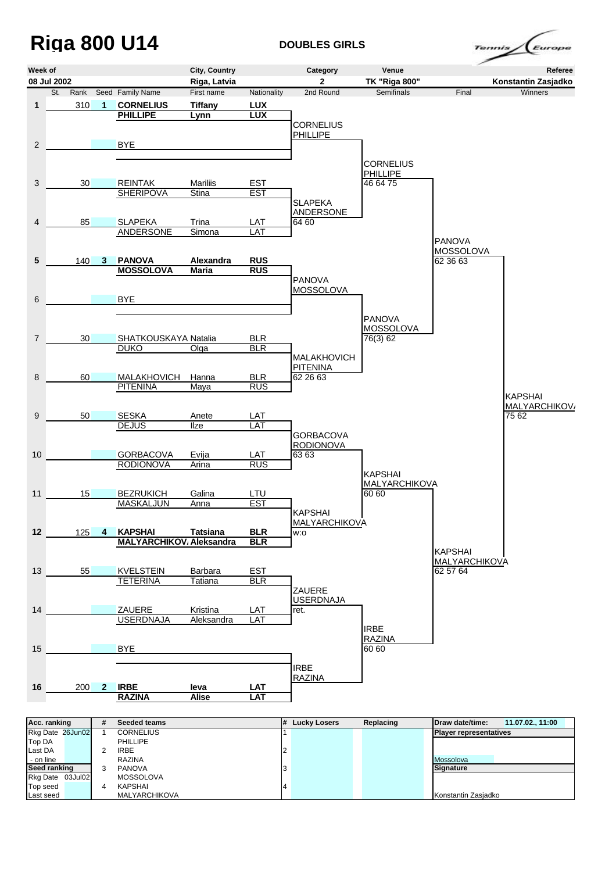## **Riga 800 U14** DOUBLES GIRLS

Europe Temnis



| Rkg Date 26Jun02 |   | <b>CORNELIUS</b> |   |  | <b>Player representatives</b> |
|------------------|---|------------------|---|--|-------------------------------|
| Top DA           |   | <b>PHILLIPE</b>  |   |  |                               |
| Last DA          |   | <b>IRBE</b>      | - |  |                               |
| - on line        |   | <b>RAZINA</b>    |   |  | <b>Mossolova</b>              |
| Seed ranking     |   | <b>PANOVA</b>    |   |  | Signature                     |
| Rkg Date 03Jul02 |   | <b>MOSSOLOVA</b> |   |  |                               |
| Top seed         | 4 | KAPSHAI          |   |  |                               |
| Last seed        |   | MALYARCHIKOVA    |   |  | Konstantin Zasiadko           |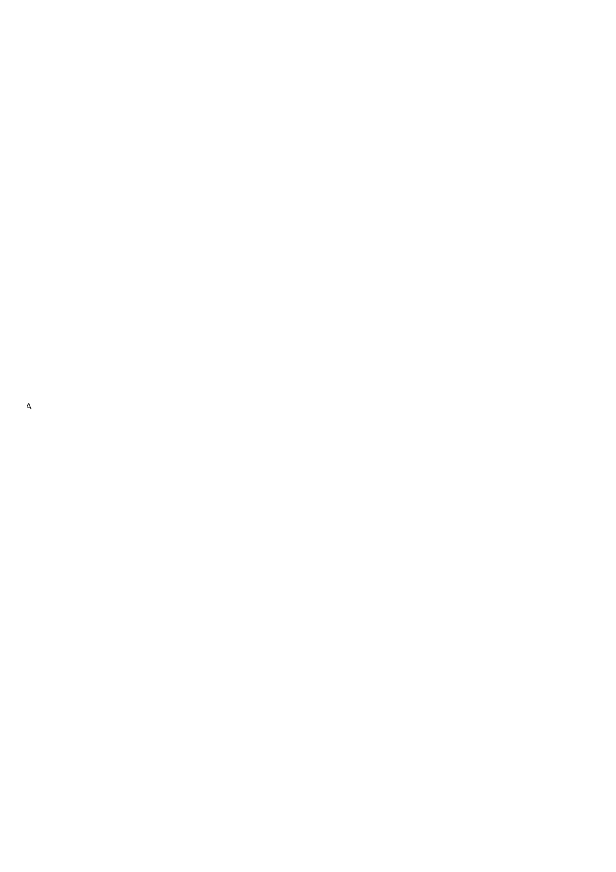$\overline{A}$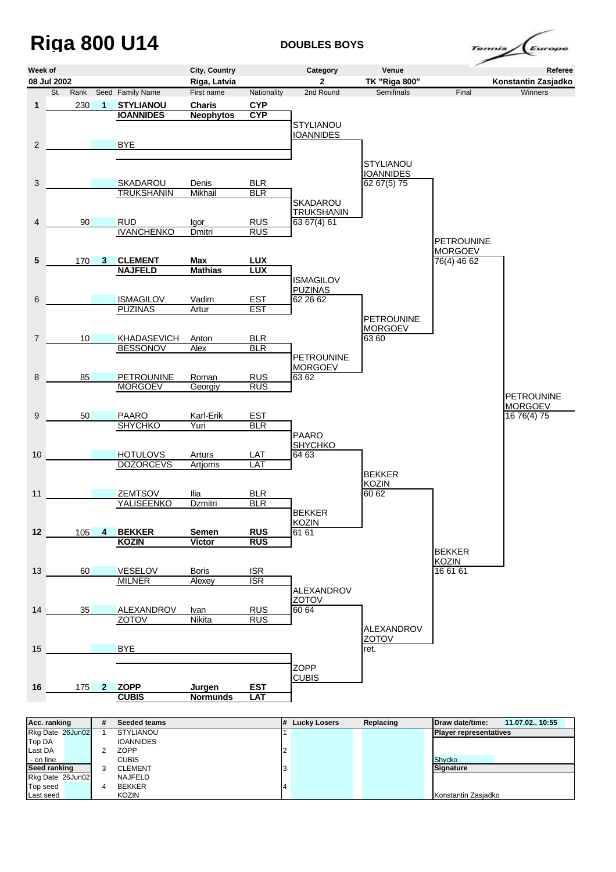## **Riga 800 U14 DOUBLES BOYS**

E. Tereste



|                  |  |                  |  | . . |                               |
|------------------|--|------------------|--|-----|-------------------------------|
| Rkg Date 26Jun02 |  | STYLIANOU        |  |     | <b>Player representatives</b> |
| Top DA           |  | <b>IOANNIDES</b> |  |     |                               |
| Last DA          |  | ZOPP             |  |     |                               |
| - on line        |  | CUBIS            |  |     | Shycko                        |
| Seed ranking     |  | <b>CLEMENT</b>   |  |     | <b>Signature</b>              |
| Rkg Date 26Jun02 |  | <b>NAJFELD</b>   |  |     |                               |
| Top seed         |  | <b>BEKKER</b>    |  |     |                               |
| Last seed        |  | <b>KOZIN</b>     |  |     | Konstantin Zasjadko           |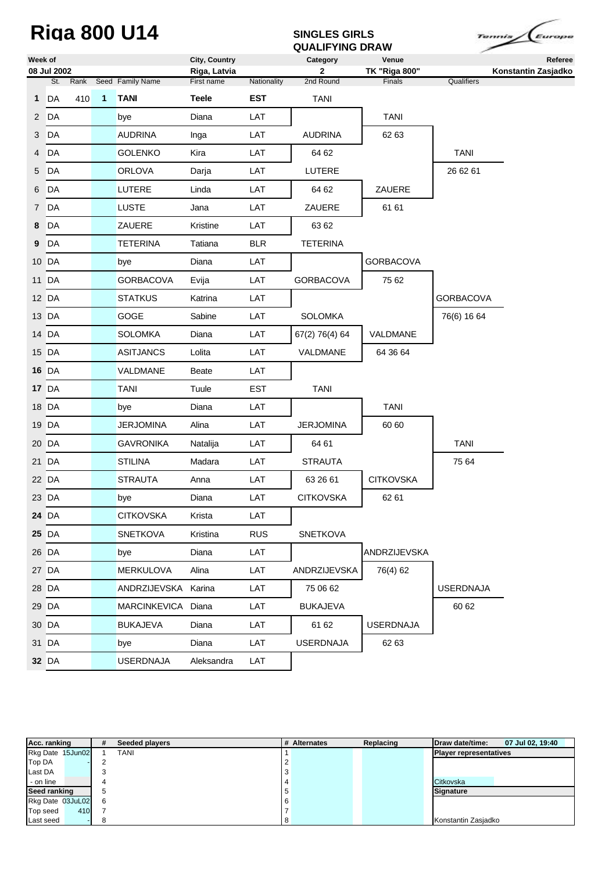| <b>Riga 800 U14</b> |              |      |             |                       |                       |                   | <b>SINGLES GIRLS</b><br><b>QUALIFYING DRAW</b> |                      | Ternis<br>Europe |                     |  |
|---------------------|--------------|------|-------------|-----------------------|-----------------------|-------------------|------------------------------------------------|----------------------|------------------|---------------------|--|
| Week of             |              |      |             |                       | City, Country         |                   | Category                                       | Venue                |                  | Referee             |  |
|                     | 08 Jul 2002  |      |             |                       | Riga, Latvia          |                   | 2                                              | <b>TK "Riga 800"</b> |                  | Konstantin Zasjadko |  |
|                     | St.          | Rank |             | Seed Family Name      | First name            | Nationality       | 2nd Round                                      | Finals               | Qualifiers       |                     |  |
| $\mathbf 1$<br>2    | DA<br>DA     | 410  | $\mathbf 1$ | <b>TANI</b>           | <b>Teele</b><br>Diana | <b>EST</b><br>LAT | <b>TANI</b>                                    | <b>TANI</b>          |                  |                     |  |
|                     |              |      |             | bye<br><b>AUDRINA</b> |                       | LAT               | <b>AUDRINA</b>                                 | 62 63                |                  |                     |  |
| 3                   | DA           |      |             | <b>GOLENKO</b>        | Inga<br>Kira          | LAT               | 64 62                                          |                      | <b>TANI</b>      |                     |  |
| 4                   | DA<br>DA     |      |             | <b>ORLOVA</b>         |                       | LAT               | LUTERE                                         |                      | 26 62 61         |                     |  |
| 5<br>6              | DA           |      |             | LUTERE                | Darja<br>Linda        | LAT               | 64 62                                          | ZAUERE               |                  |                     |  |
| $\overline{7}$      | DA           |      |             | <b>LUSTE</b>          |                       | LAT               | ZAUERE                                         | 61 61                |                  |                     |  |
|                     |              |      |             |                       | Jana                  |                   |                                                |                      |                  |                     |  |
| 8                   | DA           |      |             | ZAUERE                | Kristine              | LAT               | 63 62                                          |                      |                  |                     |  |
| 9                   | DA           |      |             | TETERINA              | Tatiana               | <b>BLR</b>        | <b>TETERINA</b>                                |                      |                  |                     |  |
|                     | 10 DA        |      |             | bye                   | Diana                 | LAT               |                                                | <b>GORBACOVA</b>     |                  |                     |  |
|                     | 11 DA        |      |             | <b>GORBACOVA</b>      | Evija                 | LAT               | <b>GORBACOVA</b>                               | 75 62                |                  |                     |  |
|                     | 12 DA        |      |             | <b>STATKUS</b>        | Katrina               | LAT               |                                                |                      | <b>GORBACOVA</b> |                     |  |
|                     | 13 DA        |      |             | <b>GOGE</b>           | Sabine                | LAT               | <b>SOLOMKA</b>                                 |                      | 76(6) 16 64      |                     |  |
|                     | 14 DA        |      |             | <b>SOLOMKA</b>        | Diana                 | LAT               | 67(2) 76(4) 64                                 | VALDMANE             |                  |                     |  |
|                     | 15 DA        |      |             | <b>ASITJANCS</b>      | Lolita                | LAT               | VALDMANE                                       | 64 36 64             |                  |                     |  |
|                     | <b>16 DA</b> |      |             | VALDMANE              | <b>Beate</b>          | LAT               |                                                |                      |                  |                     |  |
|                     | <b>17 DA</b> |      |             | <b>TANI</b>           | Tuule                 | <b>EST</b>        | <b>TANI</b>                                    |                      |                  |                     |  |
|                     | 18 DA        |      |             | bye                   | Diana                 | LAT               |                                                | <b>TANI</b>          |                  |                     |  |
|                     | 19 DA        |      |             | <b>JERJOMINA</b>      | Alina                 | LAT               | <b>JERJOMINA</b>                               | 60 60                |                  |                     |  |
|                     | 20 DA        |      |             | <b>GAVRONIKA</b>      | Natalija              | LAT               | 64 61                                          |                      | <b>TANI</b>      |                     |  |
|                     | 21 DA        |      |             | <b>STILINA</b>        | Madara                | LAT               | <b>STRAUTA</b>                                 |                      | 75 64            |                     |  |
|                     | 22 DA        |      |             | <b>STRAUTA</b>        | Anna                  | LAT               | 63 26 61                                       | <b>CITKOVSKA</b>     |                  |                     |  |
|                     | 23 DA        |      |             | bye                   | Diana                 | LAT               | <b>CITKOVSKA</b>                               | 62 61                |                  |                     |  |
|                     | 24 DA        |      |             | <b>CITKOVSKA</b>      | Krista                | LAT               |                                                |                      |                  |                     |  |
|                     | <b>25 DA</b> |      |             | <b>SNETKOVA</b>       | Kristina              | <b>RUS</b>        | <b>SNETKOVA</b>                                |                      |                  |                     |  |
|                     | 26 DA        |      |             | bye                   | Diana                 | LAT               |                                                | ANDRZIJEVSKA         |                  |                     |  |
|                     | 27 DA        |      |             | <b>MERKULOVA</b>      | Alina                 | LAT               | ANDRZIJEVSKA                                   | 76(4) 62             |                  |                     |  |
|                     | 28 DA        |      |             | ANDRZIJEVSKA Karina   |                       | LAT               | 75 06 62                                       |                      | <b>USERDNAJA</b> |                     |  |
|                     | 29 DA        |      |             | MARCINKEVICA Diana    |                       | LAT               | <b>BUKAJEVA</b>                                |                      | 60 62            |                     |  |
|                     | 30 DA        |      |             | <b>BUKAJEVA</b>       | Diana                 | LAT               | 61 62                                          | <b>USERDNAJA</b>     |                  |                     |  |
|                     | 31 DA        |      |             | bye                   | Diana                 | LAT               | <b>USERDNAJA</b>                               | 62 63                |                  |                     |  |
|                     | 32 DA        |      |             | <b>USERDNAJA</b>      | Aleksandra            | LAT               |                                                |                      |                  |                     |  |

| Acc. ranking     |     | #   | <b>Seeded players</b> | # Alternates | Replacing | Draw date/time:               | 07 Jul 02, 19:40 |
|------------------|-----|-----|-----------------------|--------------|-----------|-------------------------------|------------------|
| Rkg Date 15Jun02 |     |     | TANI                  |              |           | <b>Player representatives</b> |                  |
| Top DA           |     |     |                       |              |           |                               |                  |
| Last DA          |     |     |                       |              |           |                               |                  |
| - on line        |     | 4   |                       |              |           | Citkovska                     |                  |
| Seed ranking     |     | 5   |                       |              |           | Signature                     |                  |
| Rkg Date 03JuL02 |     | - 6 |                       |              |           |                               |                  |
| Top seed         | 410 |     |                       |              |           |                               |                  |
| Last seed        |     | 8   |                       |              |           | Konstantin Zasjadko           |                  |